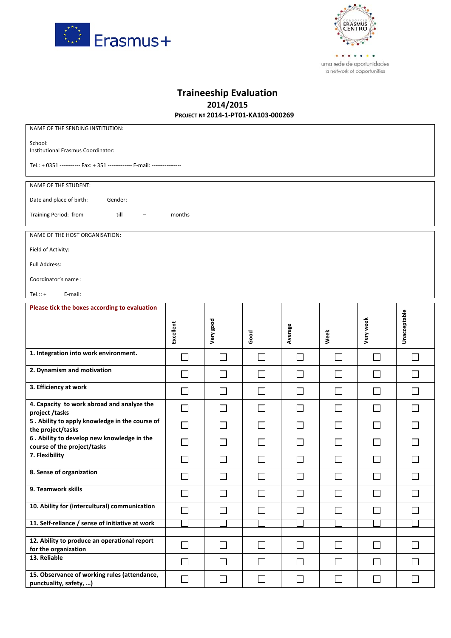



| <b>Traineeship Evaluation</b>       |  |  |
|-------------------------------------|--|--|
| 2014/2015                           |  |  |
| PROJECT Nº 2014-1-PT01-KA103-000269 |  |  |

| NAME OF THE SENDING INSTITUTION:                                           |              |                   |              |              |              |              |               |
|----------------------------------------------------------------------------|--------------|-------------------|--------------|--------------|--------------|--------------|---------------|
| School:<br>Institutional Erasmus Coordinator:                              |              |                   |              |              |              |              |               |
|                                                                            |              |                   |              |              |              |              |               |
| Tel.: + 0351 ----------- Fax: + 351 ------------- E-mail: ---------------- |              |                   |              |              |              |              |               |
| NAME OF THE STUDENT:                                                       |              |                   |              |              |              |              |               |
| Date and place of birth:<br>Gender:                                        |              |                   |              |              |              |              |               |
| Training Period: from<br>till<br>months                                    |              |                   |              |              |              |              |               |
| NAME OF THE HOST ORGANISATION:                                             |              |                   |              |              |              |              |               |
| Field of Activity:                                                         |              |                   |              |              |              |              |               |
| Full Address:                                                              |              |                   |              |              |              |              |               |
| Coordinator's name:                                                        |              |                   |              |              |              |              |               |
| E-mail:<br>Tel.:: $+$                                                      |              |                   |              |              |              |              |               |
| Please tick the boxes according to evaluation                              |              |                   |              |              |              |              |               |
|                                                                            |              |                   |              |              |              |              |               |
|                                                                            | Excellent    | Very good         | Good         | Average      | Week         | Very week    | Unacceptable  |
| 1. Integration into work environment.                                      | $\mathbf{L}$ | $\vert \ \ \vert$ | $\mathbf{L}$ | $\mathbf{L}$ | $\mathsf{L}$ | $\mathbf{L}$ | $\mathcal{L}$ |
| 2. Dynamism and motivation                                                 | $\mathbf{L}$ | $\mathbf{I}$      | $\mathsf{L}$ | $\mathbf{L}$ | $\mathsf{L}$ | $\mathbf{I}$ | $\mathsf{L}$  |
| 3. Efficiency at work                                                      |              |                   |              |              |              |              |               |
|                                                                            | $\Box$       | $\Box$            | $\Box$       | $\Box$       | $\Box$       | $\Box$       | П             |
| 4. Capacity to work abroad and analyze the                                 | $\Box$       | $\mathsf{L}$      | $\mathsf{L}$ | $\perp$      | $\Box$       | $\perp$      | $\mathsf{L}$  |
| project /tasks<br>5. Ability to apply knowledge in the course of           |              | $\mathbf{I}$      |              | $\mathbf{L}$ |              | $\mathbf{L}$ |               |
| the project/tasks                                                          | $\Box$       |                   | $\mathbf{L}$ |              | $\mathsf{L}$ |              |               |
| 6. Ability to develop new knowledge in the<br>course of the project/tasks  | $\Box$       | $\mathbf{I}$      | $\mathsf{L}$ | $\Box$       | $\Box$       | $\Box$       |               |
| 7. Flexibility                                                             |              |                   |              |              |              |              |               |
| 8. Sense of organization                                                   | $\Box$       | $\Box$            | $\Box$       | $\Box$       | $\Box$       | $\Box$       | $\Box$        |
| 9. Teamwork skills                                                         | $\Box$       | $\Box$            | $\Box$       | $\Box$       | $\Box$       | $\Box$       |               |
| 10. Ability for (intercultural) communication                              | $\Box$       | $\Box$            | $\Box$       | $\Box$       | $\Box$       | $\Box$       | П             |
| 11. Self-reliance / sense of initiative at work                            |              |                   |              |              |              |              |               |
| 12. Ability to produce an operational report                               |              |                   |              |              |              |              |               |
| for the organization<br>13. Reliable                                       | $\Box$       | $\Box$            | $\mathsf{L}$ | $\Box$       | $\Box$       | $\Box$       | $\mathsf{L}$  |
| 15. Observance of working rules (attendance,                               | $\Box$       | $\Box$            | $\Box$       | $\Box$       | $\Box$       | $\Box$       | $\Box$        |